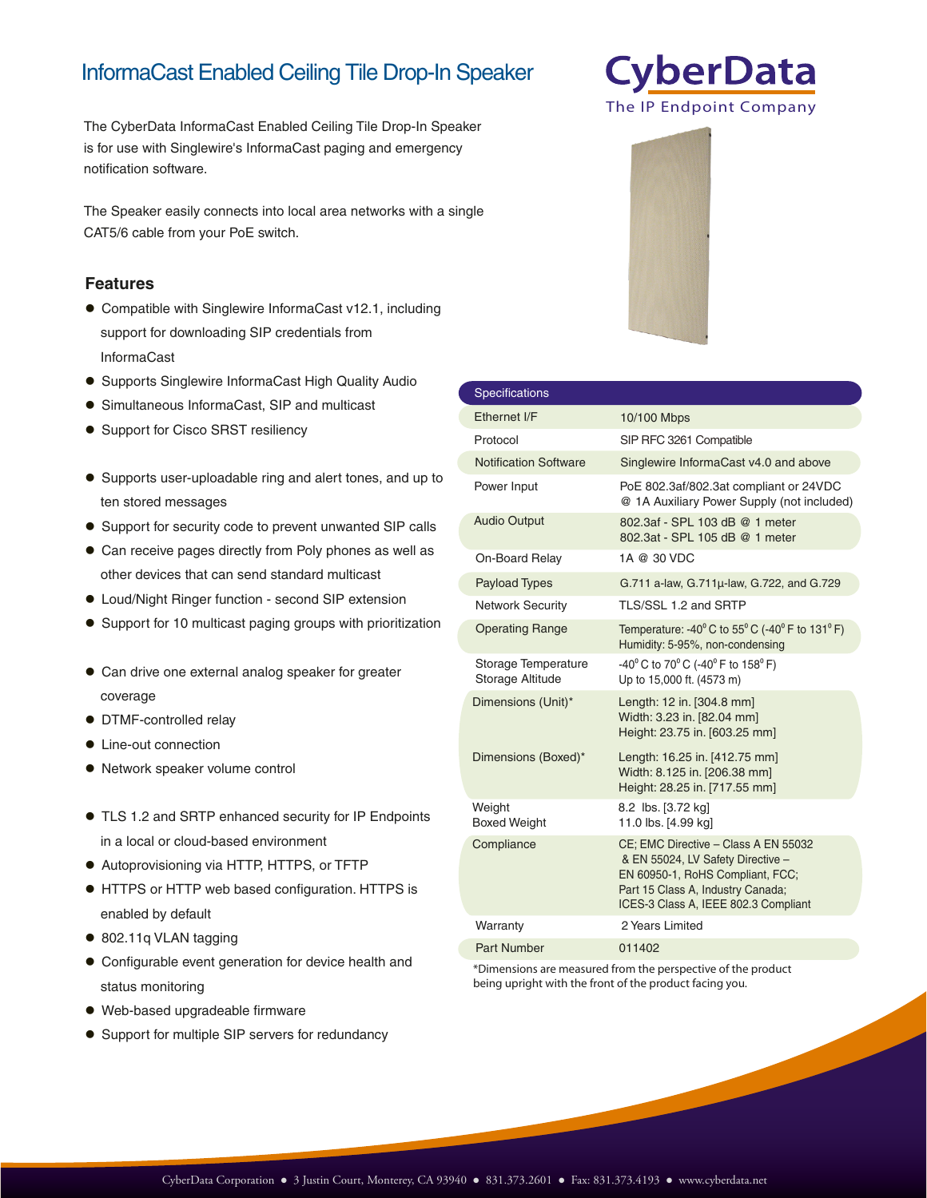## InformaCast Enabled Ceiling Tile Drop-In Speaker

The CyberData InformaCast Enabled Ceiling Tile Drop-In Speaker is for use with Singlewire's InformaCast paging and emergency notification software.

The Speaker easily connects into local area networks with a single CAT5/6 cable from your PoE switch.

### **Features**

- Compatible with Singlewire InformaCast v12.1, including support for downloading SIP credentials from InformaCast
- **Supports Singlewire InformaCast High Quality Audio**
- Simultaneous InformaCast, SIP and multicast
- Support for Cisco SRST resiliency
- Supports user-uploadable ring and alert tones, and up to ten stored messages
- Support for security code to prevent unwanted SIP calls
- Can receive pages directly from Poly phones as well as other devices that can send standard multicast
- Loud/Night Ringer function second SIP extension
- Support for 10 multicast paging groups with prioritization
- Can drive one external analog speaker for greater coverage
- DTMF-controlled relay
- Line-out connection
- Network speaker volume control
- TLS 1.2 and SRTP enhanced security for IP Endpoints in a local or cloud-based environment
- Autoprovisioning via HTTP, HTTPS, or TFTP
- HTTPS or HTTP web based configuration. HTTPS is enabled by default
- 802.11q VLAN tagging
- Configurable event generation for device health and status monitoring
- Web-based upgradeable firmware
- Support for multiple SIP servers for redundancy

| <b>Specifications</b>                   |                                                                                                                                                                                            |
|-----------------------------------------|--------------------------------------------------------------------------------------------------------------------------------------------------------------------------------------------|
| Ethernet I/F                            | 10/100 Mbps                                                                                                                                                                                |
| Protocol                                | SIP RFC 3261 Compatible                                                                                                                                                                    |
| <b>Notification Software</b>            | Singlewire InformaCast v4.0 and above                                                                                                                                                      |
| Power Input                             | PoE 802.3af/802.3at compliant or 24VDC<br>@ 1A Auxiliary Power Supply (not included)                                                                                                       |
| <b>Audio Output</b>                     | 802.3af - SPL 103 dB @ 1 meter<br>802.3at - SPL 105 dB @ 1 meter                                                                                                                           |
| On-Board Relay                          | 1A @ 30 VDC                                                                                                                                                                                |
| <b>Payload Types</b>                    | G.711 a-law, G.711µ-law, G.722, and G.729                                                                                                                                                  |
| <b>Network Security</b>                 | TLS/SSL 1.2 and SRTP                                                                                                                                                                       |
| <b>Operating Range</b>                  | Temperature: -40 $^{\circ}$ C to 55 $^{\circ}$ C (-40 $^{\circ}$ F to 131 $^{\circ}$ F)<br>Humidity: 5-95%, non-condensing                                                                 |
| Storage Temperature<br>Storage Altitude | -40° C to 70° C (-40° F to 158° F)<br>Up to 15,000 ft. (4573 m)                                                                                                                            |
| Dimensions (Unit)*                      | Length: 12 in. [304.8 mm]<br>Width: 3.23 in. [82.04 mm]<br>Height: 23.75 in. [603.25 mm]                                                                                                   |
| Dimensions (Boxed)*                     | Length: 16.25 in. [412.75 mm]<br>Width: 8.125 in. [206.38 mm]<br>Height: 28.25 in. [717.55 mm]                                                                                             |
| Weight<br><b>Boxed Weight</b>           | 8.2 lbs. [3.72 kg]<br>11.0 lbs. [4.99 kg]                                                                                                                                                  |
| Compliance                              | CE; EMC Directive - Class A EN 55032<br>& EN 55024, LV Safety Directive -<br>EN 60950-1, RoHS Compliant, FCC;<br>Part 15 Class A, Industry Canada;<br>ICES-3 Class A, IEEE 802.3 Compliant |
| Warranty                                | 2 Years Limited                                                                                                                                                                            |
| <b>Part Number</b>                      | 011402                                                                                                                                                                                     |

https://www.cyberdata.net/products/0114022

The IP Endpoint Company

**CyberData** 

https://www.cyberdata.net/products/011402

https://www.cyberdata.net/products/0114022

\*Dimensions are measured from the perspective of the product being upright with the front of the product facing you.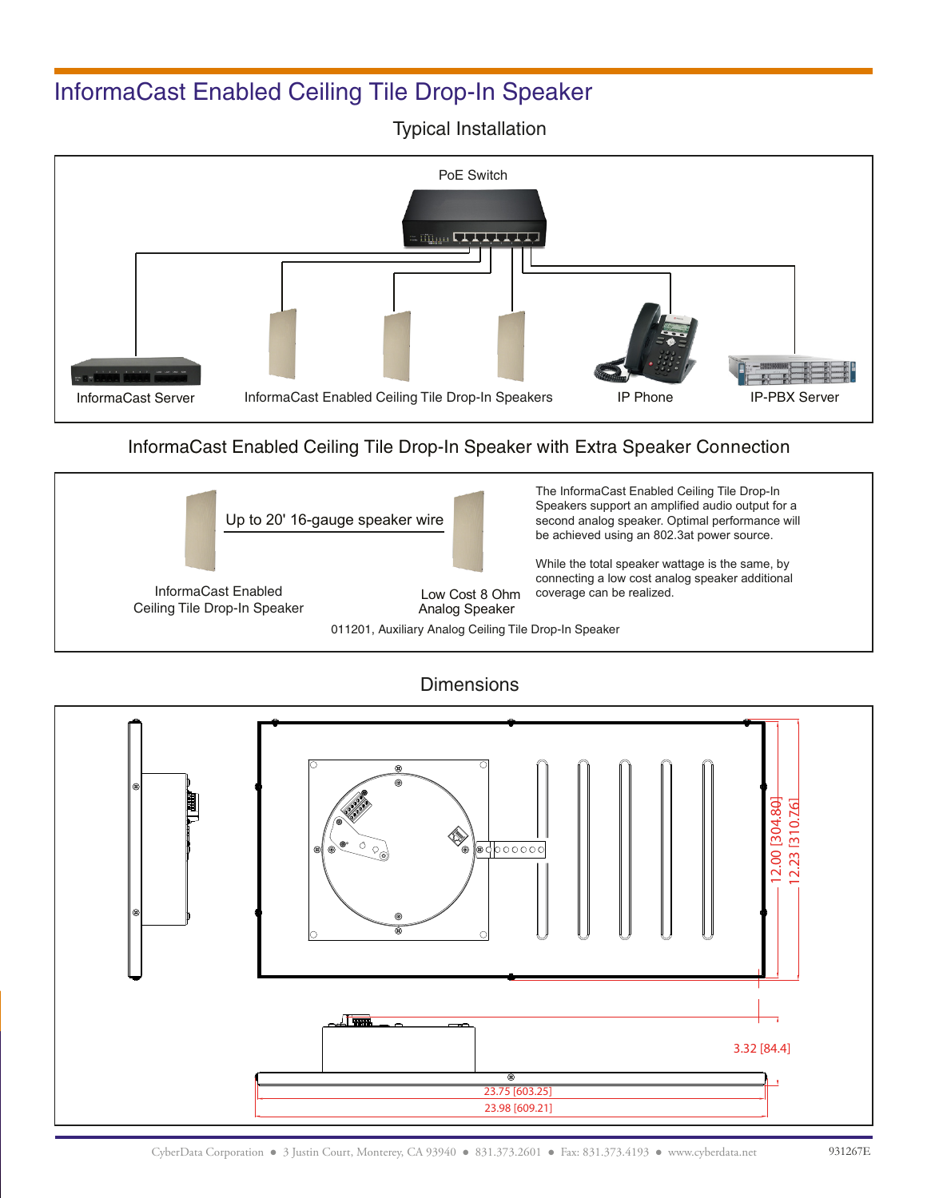# InformaCast Enabled Ceiling Tile Drop-In Speaker

Typical Installation



### InformaCast Enabled Ceiling Tile Drop-In Speaker with Extra Speaker Connection





**Dimensions**